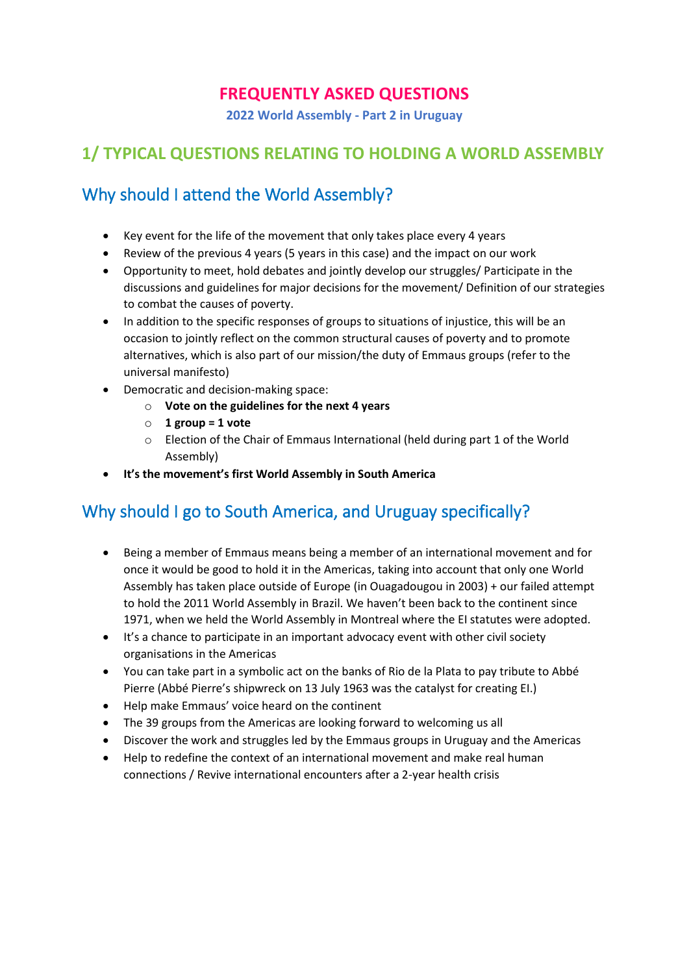#### **FREQUENTLY ASKED QUESTIONS**

**2022 World Assembly - Part 2 in Uruguay**

#### **1/ TYPICAL QUESTIONS RELATING TO HOLDING A WORLD ASSEMBLY**

#### Why should I attend the World Assembly?

- Key event for the life of the movement that only takes place every 4 years
- Review of the previous 4 years (5 years in this case) and the impact on our work
- Opportunity to meet, hold debates and jointly develop our struggles/ Participate in the discussions and guidelines for major decisions for the movement/ Definition of our strategies to combat the causes of poverty.
- In addition to the specific responses of groups to situations of injustice, this will be an occasion to jointly reflect on the common structural causes of poverty and to promote alternatives, which is also part of our mission/the duty of Emmaus groups (refer to the universal manifesto)
- Democratic and decision-making space:
	- o **Vote on the guidelines for the next 4 years**
	- o **1 group = 1 vote**
	- o Election of the Chair of Emmaus International (held during part 1 of the World Assembly)
- **It's the movement's first World Assembly in South America**

#### Why should I go to South America, and Uruguay specifically?

- Being a member of Emmaus means being a member of an international movement and for once it would be good to hold it in the Americas, taking into account that only one World Assembly has taken place outside of Europe (in Ouagadougou in 2003) + our failed attempt to hold the 2011 World Assembly in Brazil. We haven't been back to the continent since 1971, when we held the World Assembly in Montreal where the EI statutes were adopted.
- It's a chance to participate in an important advocacy event with other civil society organisations in the Americas
- You can take part in a symbolic act on the banks of Rio de la Plata to pay tribute to Abbé Pierre (Abbé Pierre's shipwreck on 13 July 1963 was the catalyst for creating EI.)
- Help make Emmaus' voice heard on the continent
- The 39 groups from the Americas are looking forward to welcoming us all
- Discover the work and struggles led by the Emmaus groups in Uruguay and the Americas
- Help to redefine the context of an international movement and make real human connections / Revive international encounters after a 2-year health crisis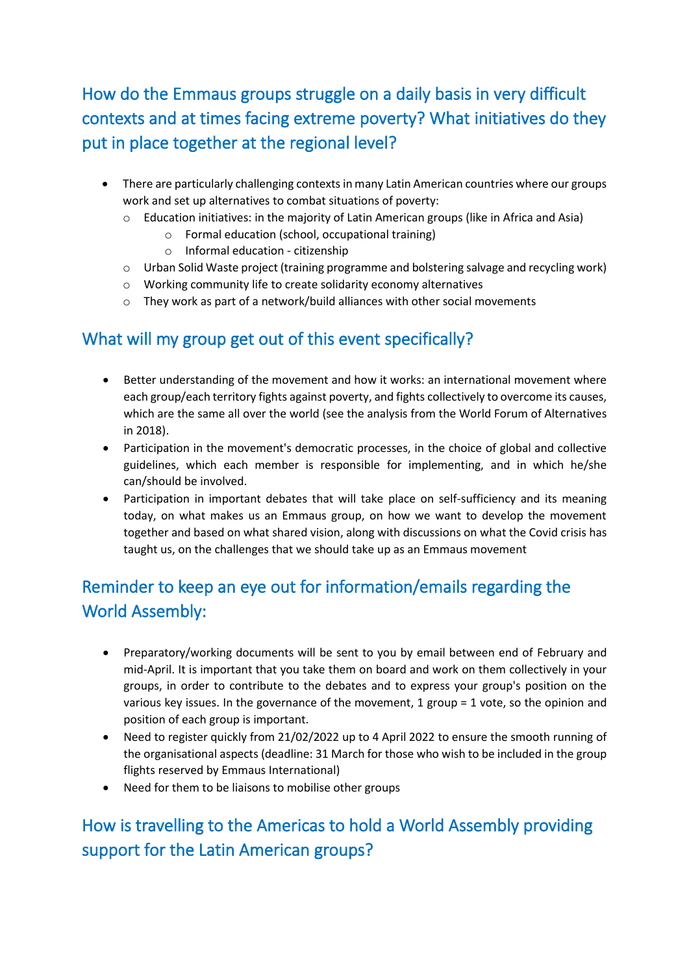How do the Emmaus groups struggle on a daily basis in very difficult contexts and at times facing extreme poverty? What initiatives do they put in place together at the regional level?

- There are particularly challenging contexts in many Latin American countries where our groups work and set up alternatives to combat situations of poverty:
	- $\circ$  Education initiatives: in the majority of Latin American groups (like in Africa and Asia)
		- o Formal education (school, occupational training)
		- o Informal education citizenship
	- o Urban Solid Waste project (training programme and bolstering salvage and recycling work)
	- o Working community life to create solidarity economy alternatives
	- o They work as part of a network/build alliances with other social movements

#### What will my group get out of this event specifically?

- Better understanding of the movement and how it works: an international movement where each group/each territory fights against poverty, and fights collectively to overcome its causes, which are the same all over the world (see the analysis from the World Forum of Alternatives in 2018).
- Participation in the movement's democratic processes, in the choice of global and collective guidelines, which each member is responsible for implementing, and in which he/she can/should be involved.
- Participation in important debates that will take place on self-sufficiency and its meaning today, on what makes us an Emmaus group, on how we want to develop the movement together and based on what shared vision, along with discussions on what the Covid crisis has taught us, on the challenges that we should take up as an Emmaus movement

## Reminder to keep an eye out for information/emails regarding the World Assembly:

- Preparatory/working documents will be sent to you by email between end of February and mid-April. It is important that you take them on board and work on them collectively in your groups, in order to contribute to the debates and to express your group's position on the various key issues. In the governance of the movement, 1 group = 1 vote, so the opinion and position of each group is important.
- Need to register quickly from 21/02/2022 up to 4 April 2022 to ensure the smooth running of the organisational aspects (deadline: 31 March for those who wish to be included in the group flights reserved by Emmaus International)
- Need for them to be liaisons to mobilise other groups

## How is travelling to the Americas to hold a World Assembly providing support for the Latin American groups?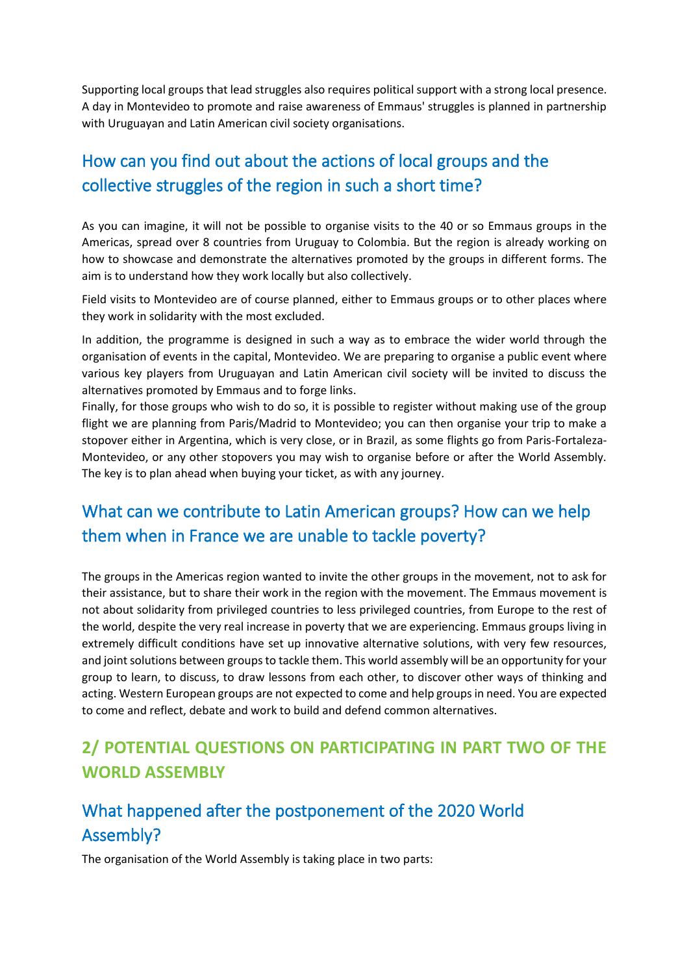Supporting local groups that lead struggles also requires political support with a strong local presence. A day in Montevideo to promote and raise awareness of Emmaus' struggles is planned in partnership with Uruguayan and Latin American civil society organisations.

## How can you find out about the actions of local groups and the collective struggles of the region in such a short time?

As you can imagine, it will not be possible to organise visits to the 40 or so Emmaus groups in the Americas, spread over 8 countries from Uruguay to Colombia. But the region is already working on how to showcase and demonstrate the alternatives promoted by the groups in different forms. The aim is to understand how they work locally but also collectively.

Field visits to Montevideo are of course planned, either to Emmaus groups or to other places where they work in solidarity with the most excluded.

In addition, the programme is designed in such a way as to embrace the wider world through the organisation of events in the capital, Montevideo. We are preparing to organise a public event where various key players from Uruguayan and Latin American civil society will be invited to discuss the alternatives promoted by Emmaus and to forge links.

Finally, for those groups who wish to do so, it is possible to register without making use of the group flight we are planning from Paris/Madrid to Montevideo; you can then organise your trip to make a stopover either in Argentina, which is very close, or in Brazil, as some flights go from Paris-Fortaleza-Montevideo, or any other stopovers you may wish to organise before or after the World Assembly. The key is to plan ahead when buying your ticket, as with any journey.

## What can we contribute to Latin American groups? How can we help them when in France we are unable to tackle poverty?

The groups in the Americas region wanted to invite the other groups in the movement, not to ask for their assistance, but to share their work in the region with the movement. The Emmaus movement is not about solidarity from privileged countries to less privileged countries, from Europe to the rest of the world, despite the very real increase in poverty that we are experiencing. Emmaus groups living in extremely difficult conditions have set up innovative alternative solutions, with very few resources, and joint solutions between groups to tackle them. This world assembly will be an opportunity for your group to learn, to discuss, to draw lessons from each other, to discover other ways of thinking and acting. Western European groups are not expected to come and help groups in need. You are expected to come and reflect, debate and work to build and defend common alternatives.

#### **2/ POTENTIAL QUESTIONS ON PARTICIPATING IN PART TWO OF THE WORLD ASSEMBLY**

## What happened after the postponement of the 2020 World Assembly?

The organisation of the World Assembly is taking place in two parts: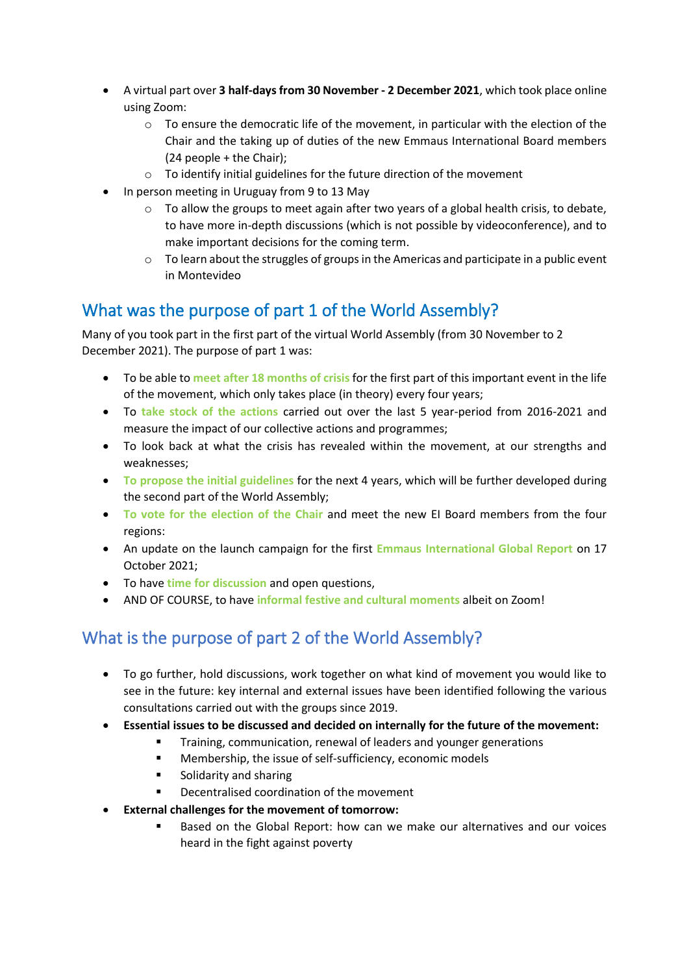- A virtual part over **3 half-days from 30 November - 2 December 2021**, which took place online using Zoom:
	- $\circ$  To ensure the democratic life of the movement, in particular with the election of the Chair and the taking up of duties of the new Emmaus International Board members (24 people + the Chair);
	- o To identify initial guidelines for the future direction of the movement
- In person meeting in Uruguay from 9 to 13 May
	- $\circ$  To allow the groups to meet again after two years of a global health crisis, to debate, to have more in-depth discussions (which is not possible by videoconference), and to make important decisions for the coming term.
	- $\circ$  To learn about the struggles of groups in the Americas and participate in a public event in Montevideo

#### What was the purpose of part 1 of the World Assembly?

Many of you took part in the first part of the virtual World Assembly (from 30 November to 2 December 2021). The purpose of part 1 was:

- To be able to **meet after 18 months of crisis** for the first part of this important event in the life of the movement, which only takes place (in theory) every four years;
- To **take stock of the actions** carried out over the last 5 year-period from 2016-2021 and measure the impact of our collective actions and programmes;
- To look back at what the crisis has revealed within the movement, at our strengths and weaknesses;
- **To propose the initial guidelines** for the next 4 years, which will be further developed during the second part of the World Assembly;
- **To vote for the election of the Chair** and meet the new EI Board members from the four regions:
- An update on the launch campaign for the first **Emmaus International Global Report** on 17 October 2021;
- To have **time for discussion** and open questions,
- AND OF COURSE, to have **informal festive and cultural moments** albeit on Zoom!

## What is the purpose of part 2 of the World Assembly?

- To go further, hold discussions, work together on what kind of movement you would like to see in the future: key internal and external issues have been identified following the various consultations carried out with the groups since 2019.
- **Essential issues to be discussed and decided on internally for the future of the movement:**
	- Training, communication, renewal of leaders and younger generations
	- Membership, the issue of self-sufficiency, economic models
	- Solidarity and sharing
	- Decentralised coordination of the movement
- **External challenges for the movement of tomorrow:**
	- Based on the Global Report: how can we make our alternatives and our voices heard in the fight against poverty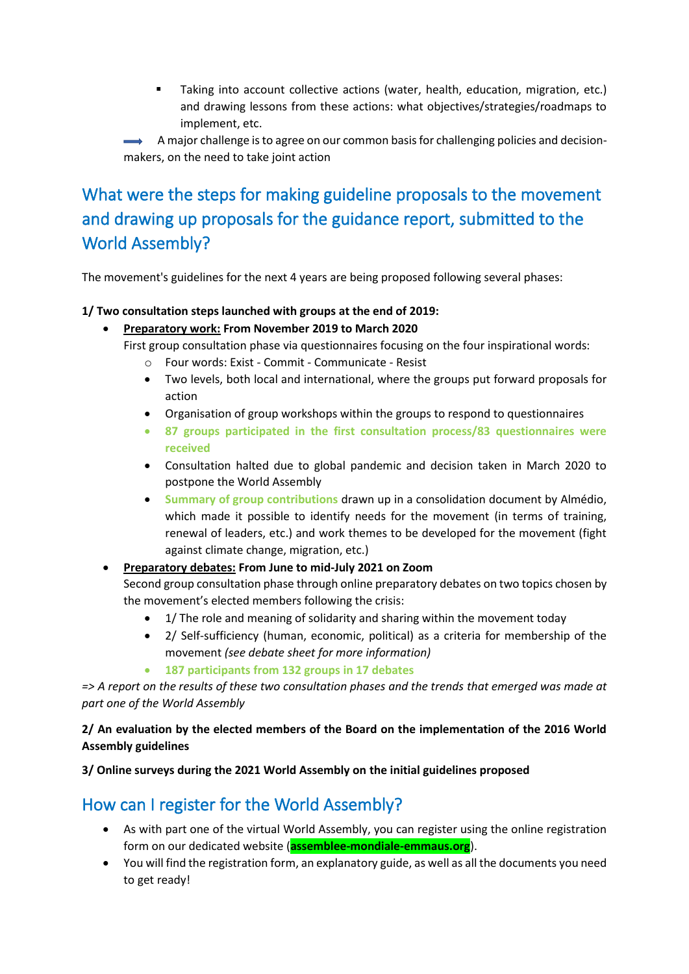Taking into account collective actions (water, health, education, migration, etc.) and drawing lessons from these actions: what objectives/strategies/roadmaps to implement, etc.

 $\rightarrow$  A major challenge is to agree on our common basis for challenging policies and decisionmakers, on the need to take joint action

## What were the steps for making guideline proposals to the movement and drawing up proposals for the guidance report, submitted to the World Assembly?

The movement's guidelines for the next 4 years are being proposed following several phases:

#### **1/ Two consultation steps launched with groups at the end of 2019:**

- **Preparatory work: From November 2019 to March 2020**
	- First group consultation phase via questionnaires focusing on the four inspirational words:
		- o Four words: Exist Commit Communicate Resist
		- Two levels, both local and international, where the groups put forward proposals for action
		- Organisation of group workshops within the groups to respond to questionnaires
		- **87 groups participated in the first consultation process/83 questionnaires were received**
		- Consultation halted due to global pandemic and decision taken in March 2020 to postpone the World Assembly
		- **Summary of group contributions** drawn up in a consolidation document by Almédio, which made it possible to identify needs for the movement (in terms of training, renewal of leaders, etc.) and work themes to be developed for the movement (fight against climate change, migration, etc.)

# • **Preparatory debates: From June to mid-July 2021 on Zoom**

Second group consultation phase through online preparatory debates on two topics chosen by the movement's elected members following the crisis:

- 1/ The role and meaning of solidarity and sharing within the movement today
- 2/ Self-sufficiency (human, economic, political) as a criteria for membership of the movement *(see debate sheet for more information)*
- **187 participants from 132 groups in 17 debates**

*=> A report on the results of these two consultation phases and the trends that emerged was made at part one of the World Assembly*

#### **2/ An evaluation by the elected members of the Board on the implementation of the 2016 World Assembly guidelines**

**3/ Online surveys during the 2021 World Assembly on the initial guidelines proposed**

#### How can I register for the World Assembly?

- As with part one of the virtual World Assembly, you can register using the online registration form on our dedicated website (**assemblee-mondiale-emmaus.org**).
- You will find the registration form, an explanatory guide, as well as all the documents you need to get ready!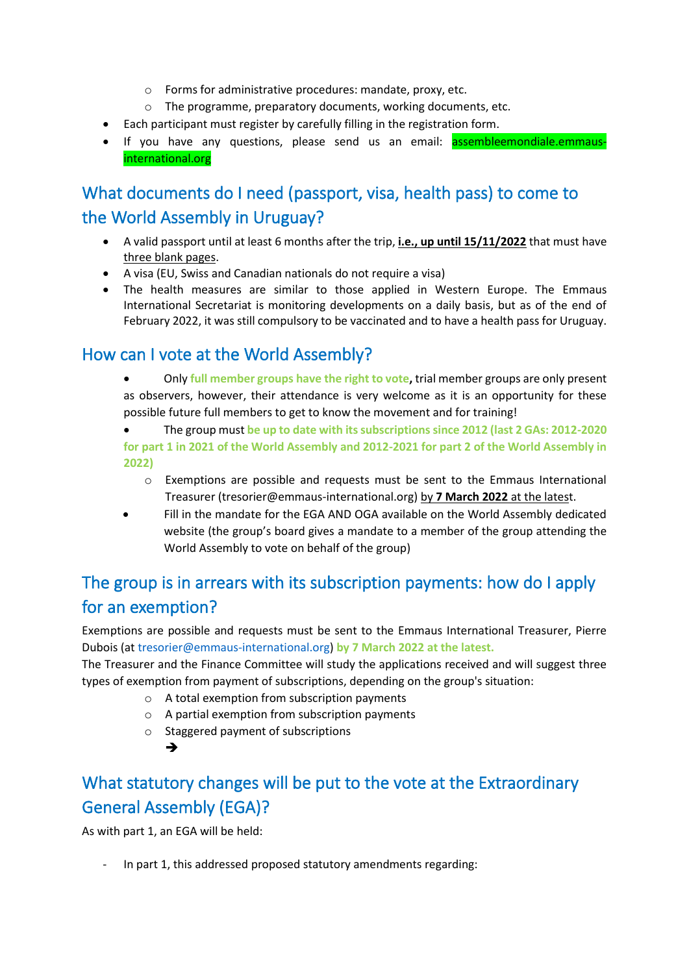- o Forms for administrative procedures: mandate, proxy, etc.
- o The programme, preparatory documents, working documents, etc.
- Each participant must register by carefully filling in the registration form.
- If you have any questions, please send us an email: **assembleemondiale.emmaus**international.org

## What documents do I need (passport, visa, health pass) to come to the World Assembly in Uruguay?

- A valid passport until at least 6 months after the trip, **i.e., up until 15/11/2022** that must have three blank pages.
- A visa (EU, Swiss and Canadian nationals do not require a visa)
- The health measures are similar to those applied in Western Europe. The Emmaus International Secretariat is monitoring developments on a daily basis, but as of the end of February 2022, it was still compulsory to be vaccinated and to have a health pass for Uruguay.

#### How can I vote at the World Assembly?

- Only **full member groups have the right to vote,** trial member groups are only present as observers, however, their attendance is very welcome as it is an opportunity for these possible future full members to get to know the movement and for training!
- The group must **be up to date with its subscriptions since 2012 (last 2 GAs: 2012-2020 for part 1 in 2021 of the World Assembly and 2012-2021 for part 2 of the World Assembly in 2022)**
	- o Exemptions are possible and requests must be sent to the Emmaus International Treasurer (tresorier@emmaus-international.org) by **7 March 2022** at the latest.
- Fill in the mandate for the EGA AND OGA available on the World Assembly dedicated website (the group's board gives a mandate to a member of the group attending the World Assembly to vote on behalf of the group)

## The group is in arrears with its subscription payments: how do I apply for an exemption?

Exemptions are possible and requests must be sent to the Emmaus International Treasurer, Pierre Dubois (at [tresorier@emmaus-international.org\)](mailto:tresorier@emmaus-international.org) **by 7 March 2022 at the latest.**

The Treasurer and the Finance Committee will study the applications received and will suggest three types of exemption from payment of subscriptions, depending on the group's situation:

- o A total exemption from subscription payments
- o A partial exemption from subscription payments
- o Staggered payment of subscriptions
	- ➔

## What statutory changes will be put to the vote at the Extraordinary General Assembly (EGA)?

As with part 1, an EGA will be held:

- In part 1, this addressed proposed statutory amendments regarding: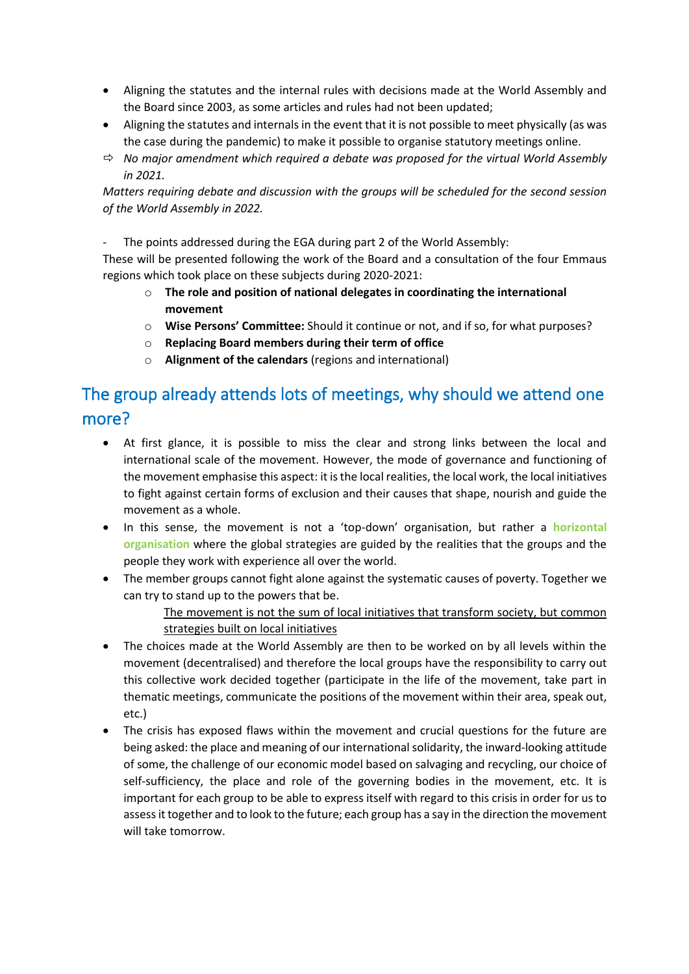- Aligning the statutes and the internal rules with decisions made at the World Assembly and the Board since 2003, as some articles and rules had not been updated;
- Aligning the statutes and internals in the event that it is not possible to meet physically (as was the case during the pandemic) to make it possible to organise statutory meetings online.
- *No major amendment which required a debate was proposed for the virtual World Assembly in 2021.*

*Matters requiring debate and discussion with the groups will be scheduled for the second session of the World Assembly in 2022.* 

- The points addressed during the EGA during part 2 of the World Assembly:

These will be presented following the work of the Board and a consultation of the four Emmaus regions which took place on these subjects during 2020-2021:

- o **The role and position of national delegates in coordinating the international movement**
- o **Wise Persons' Committee:** Should it continue or not, and if so, for what purposes?
- o **Replacing Board members during their term of office**
- o **Alignment of the calendars** (regions and international)

### The group already attends lots of meetings, why should we attend one more?

- At first glance, it is possible to miss the clear and strong links between the local and international scale of the movement. However, the mode of governance and functioning of the movement emphasise this aspect: it is the local realities, the local work, the local initiatives to fight against certain forms of exclusion and their causes that shape, nourish and guide the movement as a whole.
- In this sense, the movement is not a 'top-down' organisation, but rather a **horizontal organisation** where the global strategies are guided by the realities that the groups and the people they work with experience all over the world.
- The member groups cannot fight alone against the systematic causes of poverty. Together we can try to stand up to the powers that be.

The movement is not the sum of local initiatives that transform society, but common strategies built on local initiatives

- The choices made at the World Assembly are then to be worked on by all levels within the movement (decentralised) and therefore the local groups have the responsibility to carry out this collective work decided together (participate in the life of the movement, take part in thematic meetings, communicate the positions of the movement within their area, speak out, etc.)
- The crisis has exposed flaws within the movement and crucial questions for the future are being asked: the place and meaning of our international solidarity, the inward-looking attitude of some, the challenge of our economic model based on salvaging and recycling, our choice of self-sufficiency, the place and role of the governing bodies in the movement, etc. It is important for each group to be able to express itself with regard to this crisis in order for us to assess it together and to look to the future; each group has a say in the direction the movement will take tomorrow.